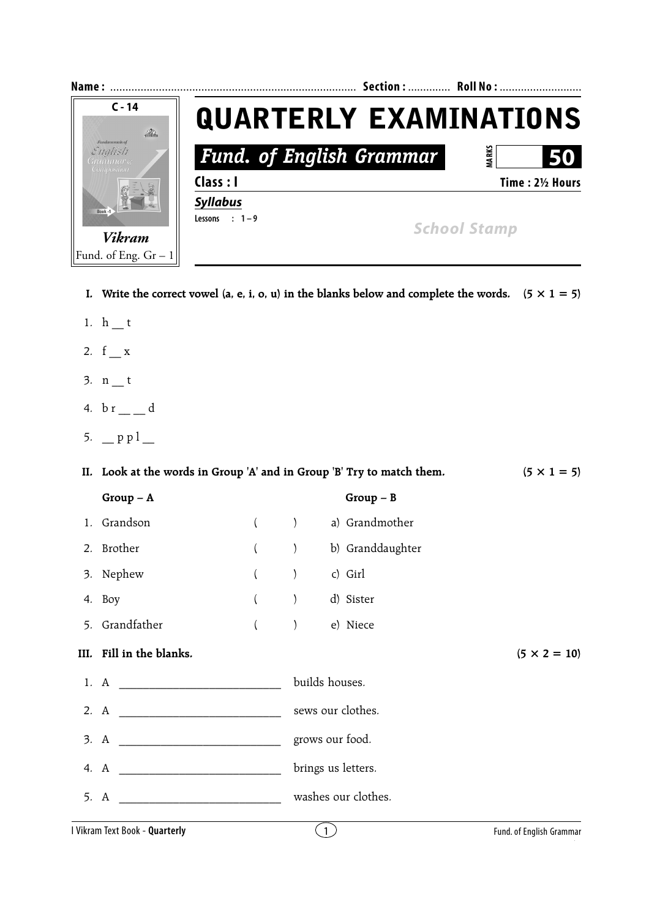| Name:                                                         |                                 | Section:  Roll No:  |
|---------------------------------------------------------------|---------------------------------|---------------------|
| $C - 14$<br>$\mathcal{D}$                                     | <b>QUARTERLY EXAMINATIONS</b>   |                     |
| <b>Fundamentals</b> of<br>English<br>Grammar &<br>Composition | <b>Fund. of English Grammar</b> | ARK:<br>50          |
|                                                               | Class : I                       | Time: 21/2 Hours    |
| Book -                                                        | <b>Syllabus</b>                 |                     |
|                                                               | $: 1 - 9$<br>Lessons            | <b>School Stamp</b> |
| <b>Vikram</b>                                                 |                                 |                     |
| Fund. of Eng. $Gr-1$                                          |                                 |                     |

- **I.** Write the correct vowel (a, e, i, o, u) in the blanks below and complete the words.  $(5 \times 1 = 5)$
- 1.  $h$  \_ t
- 2.  $f_{x}$
- $3. n_t$
- 4.  $b r = d$
- 5.  $p p l$

| II. Look at the words in Group 'A' and in Group 'B' Try to match them. | $(5 \times 1 = 5)$           |                     |                          |
|------------------------------------------------------------------------|------------------------------|---------------------|--------------------------|
| $Group-A$                                                              |                              | $Group - B$         |                          |
| 1. Grandson                                                            |                              | a) Grandmother      |                          |
| 2. Brother                                                             | $\left( \right)$             | b) Granddaughter    |                          |
| 3. Nephew                                                              |                              | c) Girl             |                          |
| 4. Boy                                                                 | $\left( \frac{1}{2} \right)$ | d) Sister           |                          |
| 5. Grandfather                                                         | $\big)$                      | e) Niece            |                          |
| III. Fill in the blanks.                                               |                              |                     | $(5 \times 2 = 10)$      |
|                                                                        |                              | builds houses.      |                          |
|                                                                        |                              |                     |                          |
|                                                                        |                              | grows our food.     |                          |
|                                                                        |                              | brings us letters.  |                          |
|                                                                        |                              | washes our clothes. |                          |
| I Vikram Text Book - Quarterly                                         |                              | $\overline{1}$      | Fund. of English Grammar |